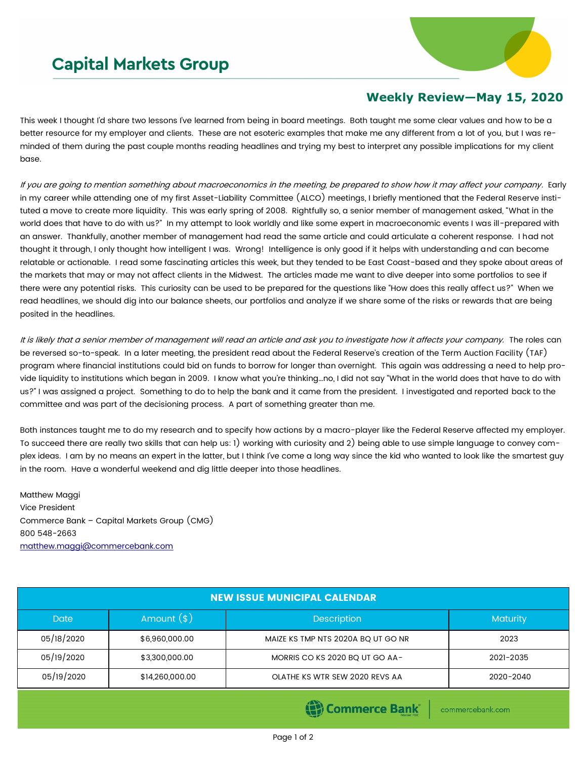## **Capital Markets Group**



## **Weekly Review—May 15, 2020**

This week I thought I'd share two lessons I've learned from being in board meetings. Both taught me some clear values and how to be a better resource for my employer and clients. These are not esoteric examples that make me any different from a lot of you, but I was reminded of them during the past couple months reading headlines and trying my best to interpret any possible implications for my client base.

If you are going to mention something about macroeconomics in the meeting, be prepared to show how it may affect your company. Early in my career while attending one of my first Asset-Liability Committee (ALCO) meetings, I briefly mentioned that the Federal Reserve instituted a move to create more liquidity. This was early spring of 2008. Rightfully so, a senior member of management asked, "What in the world does that have to do with us?" In my attempt to look worldly and like some expert in macroeconomic events I was ill-prepared with an answer. Thankfully, another member of management had read the same article and could articulate a coherent response. I had not thought it through, I only thought how intelligent I was. Wrong! Intelligence is only good if it helps with understanding and can become relatable or actionable. I read some fascinating articles this week, but they tended to be East Coast-based and they spoke about areas of the markets that may or may not affect clients in the Midwest. The articles made me want to dive deeper into some portfolios to see if there were any potential risks. This curiosity can be used to be prepared for the questions like "How does this really affect us?" When we read headlines, we should dig into our balance sheets, our portfolios and analyze if we share some of the risks or rewards that are being posited in the headlines.

It is likely that a senior member of management will read an article and ask you to investigate how it affects your company. The roles can be reversed so-to-speak. In a later meeting, the president read about the Federal Reserve's creation of the Term Auction Facility (TAF) program where financial institutions could bid on funds to borrow for longer than overnight. This again was addressing a need to help provide liquidity to institutions which began in 2009. I know what you're thinking…no, I did not say "What in the world does that have to do with us?" I was assigned a project. Something to do to help the bank and it came from the president. I investigated and reported back to the committee and was part of the decisioning process. A part of something greater than me.

Both instances taught me to do my research and to specify how actions by a macro-player like the Federal Reserve affected my employer. To succeed there are really two skills that can help us: 1) working with curiosity and 2) being able to use simple language to convey complex ideas. I am by no means an expert in the latter, but I think I've come a long way since the kid who wanted to look like the smartest guy in the room. Have a wonderful weekend and dig little deeper into those headlines.

Matthew Maggi Vice President Commerce Bank – Capital Markets Group (CMG) 800 548-2663 [matthew.maggi@commercebank.com](mailto:matthew.maggi@commercebank.com)

| <b>NEW ISSUE MUNICIPAL CALENDAR</b> |                                    |                                    |                 |  |  |  |
|-------------------------------------|------------------------------------|------------------------------------|-----------------|--|--|--|
| <b>Date</b>                         | Amount $(*)$<br><b>Description</b> |                                    | <b>Maturity</b> |  |  |  |
| 05/18/2020                          | \$6,960,000.00                     | MAIZE KS TMP NTS 2020A BQ UT GO NR | 2023            |  |  |  |
| 05/19/2020                          | \$3,300,000.00                     | MORRIS CO KS 2020 BQ UT GO AA-     | 2021-2035       |  |  |  |
| 05/19/2020                          | \$14,260,000.00                    | OLATHE KS WTR SEW 2020 REVS AA     | 2020-2040       |  |  |  |

**Commerce Bank** 

commercebank.com